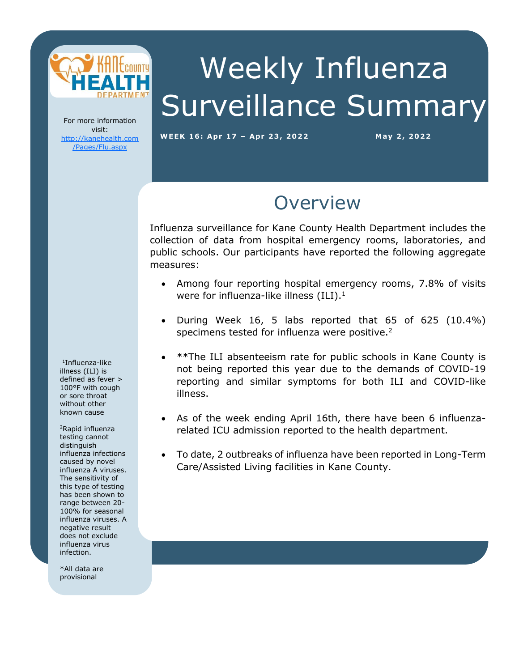

# Weekly Influenza Surveillance Summary

For more information visit: [http://kanehealth.com](http://kanehealth.com/Pages/Flu.aspx) [/Pages/Flu.aspx](http://kanehealth.com/Pages/Flu.aspx)

**WEEK 16: Apr 17 – Apr 2 3, 2 0 2 2 May 2, 2 0 22**

data that make this monitoring possible.

### **Overview**

Influenza surveillance for Kane County Health Department includes the collection of data from hospital emergency rooms, laboratories, and public schools. Our participants have reported the following aggregate measures:

- Among four reporting hospital emergency rooms, 7.8% of visits were for influenza-like illness  $(ILI).<sup>1</sup>$
- During Week 16, 5 labs reported that 65 of 625 (10.4%) specimens tested for influenza were positive.<sup>2</sup>
- \*\*The ILI absenteeism rate for public schools in Kane County is not being reported this year due to the demands of COVID-19 reporting and similar symptoms for both ILI and COVID-like illness.
- As of the week ending April 16th, there have been 6 influenzarelated ICU admission reported to the health department.
- To date, 2 outbreaks of influenza have been reported in Long-Term Care/Assisted Living facilities in Kane County.

1 Influenza-like illness (ILI) is defined as fever > 100°F with cough or sore throat without other known cause

<sup>2</sup>Rapid influenza testing cannot distinguish influenza infections caused by novel influenza A viruses. The sensitivity of this type of testing has been shown to range between 20- 100% for seasonal influenza viruses. A negative result does not exclude influenza virus infection.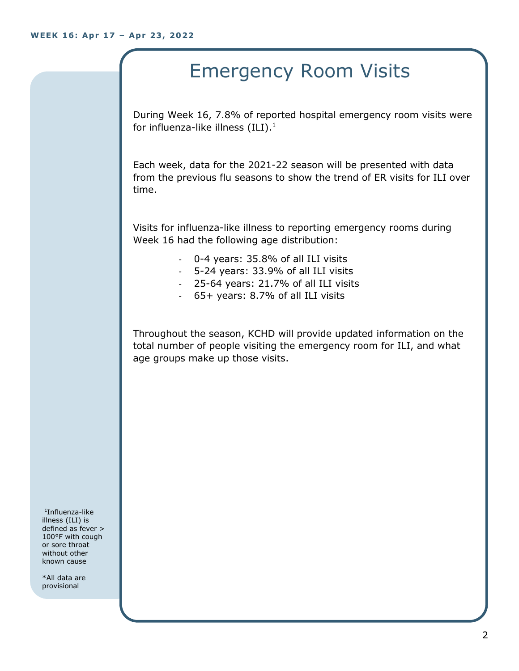## Emergency Room Visits

During Week 16, 7.8% of reported hospital emergency room visits were for influenza-like illness  $(III).<sup>1</sup>$ 

Each week, data for the 2021-22 season will be presented with data from the previous flu seasons to show the trend of ER visits for ILI over time.

Visits for influenza-like illness to reporting emergency rooms during Week 16 had the following age distribution:

- 0-4 years: 35.8% of all ILI visits
- 5-24 years: 33.9% of all ILI visits
- 25-64 years: 21.7% of all ILI visits
- 65+ years: 8.7% of all ILI visits

Throughout the season, KCHD will provide updated information on the total number of people visiting the emergency room for ILI, and what age groups make up those visits.

1 Influenza-like illness (ILI) is defined as fever > 100°F with cough or sore throat without other known cause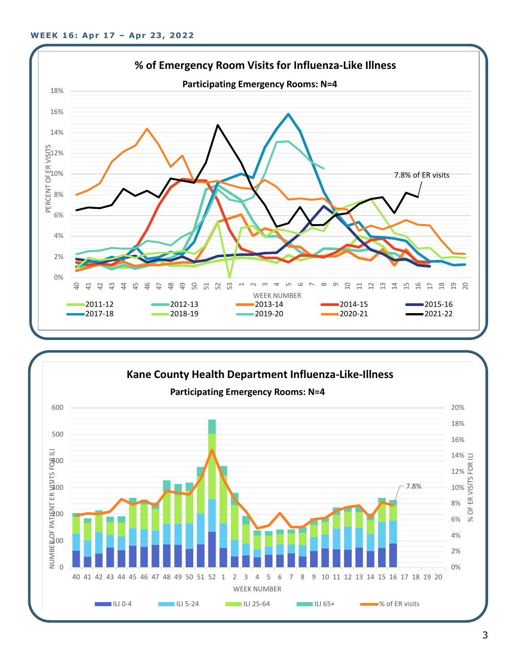

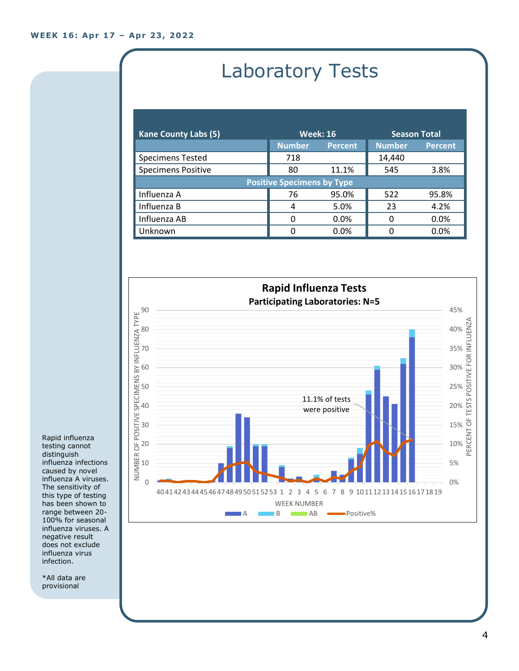# Laboratory Tests

| <b>Kane County Labs (5)</b>       | <b>Week: 16</b> |                | <b>Season Total</b> |                |  |
|-----------------------------------|-----------------|----------------|---------------------|----------------|--|
|                                   | <b>Number</b>   | <b>Percent</b> | <b>Number</b>       | <b>Percent</b> |  |
| <b>Specimens Tested</b>           | 718             |                | 14,440              |                |  |
| <b>Specimens Positive</b>         | 80              | 11.1%          | 545                 | 3.8%           |  |
| <b>Positive Specimens by Type</b> |                 |                |                     |                |  |
| Influenza A                       | 76              | 95.0%          | 522                 | 95.8%          |  |
| Influenza B                       | 4               | 5.0%           | 23                  | 4.2%           |  |
| Influenza AB                      | O               | $0.0\%$        | 0                   | 0.0%           |  |
| Unknown                           | O               | 0.0%           | O                   | 0.0%           |  |



Rapid influenza testing cannot distinguish influenza infections caused by novel influenza A viruses. The sensitivity of this type of testing has been shown to range between 20- 100% for seasonal influenza viruses. A negative result does not exclude influenza virus infection.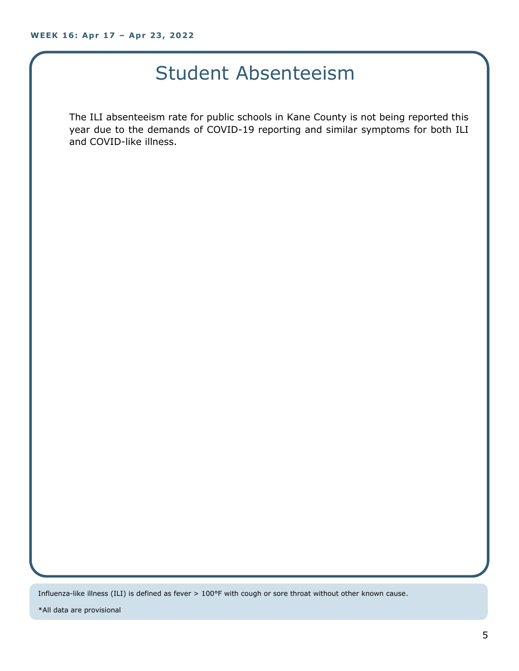### Student Absenteeism

The ILI absenteeism rate for public schools in Kane County is not being reported this year due to the demands of COVID-19 reporting and similar symptoms for both ILI and COVID-like illness.

Influenza-like illness (ILI) is defined as fever > 100°F with cough or sore throat without other known cause.